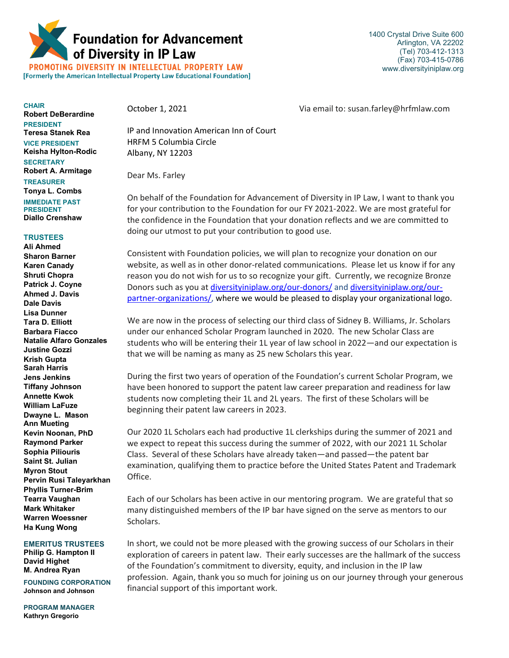

1400 Crystal Drive Suite 600 Arlington, VA 22202 (Tel) 703-412-1313 (Fax) 703-415-0786 www.diversityiniplaw.org

PROMOTING DIVERSITY IN INTELLECTUAL PROPERTY LAW [Formerly the American Intellectual Property Law Educational Foundation]

**CHAIR Robert DeBerardine PRESIDENT Teresa Stanek Rea VICE PRESIDENT Keisha Hylton-Rodic SECRETARY Robert A. Armitage TREASURER** 

**Tonya L. Combs IMMEDIATE PAST PRESIDENT Diallo Crenshaw**

## **TRUSTEES**

**Ali Ahmed Sharon Barner Karen Canady Shruti Chopra Patrick J. Coyne Ahmed J. Davis Dale Davis Lisa Dunner Tara D. Elliott Barbara Fiacco Natalie Alfaro Gonzales Justine Gozzi Krish Gupta Sarah Harris Jens Jenkins Tiffany Johnson Annette Kwok William LaFuze Dwayne L. Mason Ann Mueting Kevin Noonan, PhD Raymond Parker Sophia Piliouris Saint St. Julian Myron Stout Pervin Rusi Taleyarkhan Phyllis Turner-Brim Tearra Vaughan Mark Whitaker Warren Woessner Ha Kung Wong**

**EMERITUS TRUSTEES**

**Philip G. Hampton II David Highet M. Andrea Ryan**

**FOUNDING CORPORATION Johnson and Johnson**

**PROGRAM MANAGER Kathryn Gregorio**

October 1, 2021 Via email to: susan.farley@hrfmlaw.com

IP and Innovation American Inn of Court HRFM 5 Columbia Circle Albany, NY 12203

Dear Ms. Farley

On behalf of the Foundation for Advancement of Diversity in IP Law, I want to thank you for your contribution to the Foundation for our FY 2021-2022. We are most grateful for the confidence in the Foundation that your donation reflects and we are committed to doing our utmost to put your contribution to good use.

Consistent with Foundation policies, we will plan to recognize your donation on our website, as well as in other donor-related communications. Please let us know if for any reason you do not wish for us to so recognize your gift. Currently, we recognize Bronze Donors such as you at [diversityiniplaw.org/our-donors/](https://diversityiniplaw.org/our-donors/) and [diversityiniplaw.org/our](https://diversityiniplaw.org/our-partner-organizations/)[partner-organizations/,](https://diversityiniplaw.org/our-partner-organizations/) where we would be pleased to display your organizational logo.

We are now in the process of selecting our third class of Sidney B. Williams, Jr. Scholars under our enhanced Scholar Program launched in 2020. The new Scholar Class are students who will be entering their 1L year of law school in 2022—and our expectation is that we will be naming as many as 25 new Scholars this year.

During the first two years of operation of the Foundation's current Scholar Program, we have been honored to support the patent law career preparation and readiness for law students now completing their 1L and 2L years. The first of these Scholars will be beginning their patent law careers in 2023.

Our 2020 1L Scholars each had productive 1L clerkships during the summer of 2021 and we expect to repeat this success during the summer of 2022, with our 2021 1L Scholar Class. Several of these Scholars have already taken—and passed—the patent bar examination, qualifying them to practice before the United States Patent and Trademark Office.

Each of our Scholars has been active in our mentoring program. We are grateful that so many distinguished members of the IP bar have signed on the serve as mentors to our Scholars.

In short, we could not be more pleased with the growing success of our Scholars in their exploration of careers in patent law. Their early successes are the hallmark of the success of the Foundation's commitment to diversity, equity, and inclusion in the IP law profession. Again, thank you so much for joining us on our journey through your generous financial support of this important work.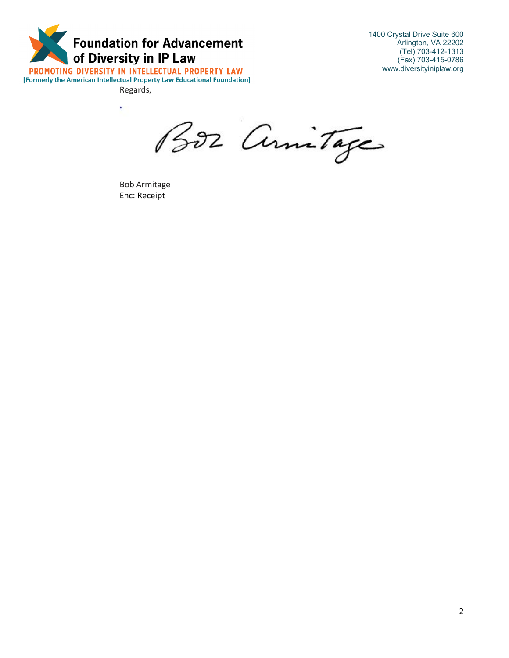

Regards,

1400 Crystal Drive Suite 600 Arlington, VA 22202 (Tel) 703-412-1313 (Fax) 703-415-0786 www.diversityiniplaw.org

¥ BOZ Annitage

Bob Armitage Enc: Receipt